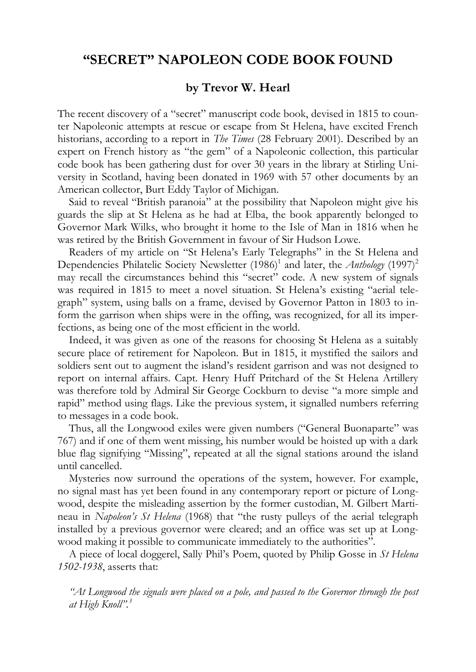## **"SECRET" NAPOLEON CODE BOOK FOUND**

## **by Trevor W. Hearl**

The recent discovery of a "secret" manuscript code book, devised in 1815 to counter Napoleonic attempts at rescue or escape from St Helena, have excited French historians, according to a report in *The Times* (28 February 2001). Described by an expert on French history as "the gem" of a Napoleonic collection, this particular code book has been gathering dust for over 30 years in the library at Stirling University in Scotland, having been donated in 1969 with 57 other documents by an American collector, Burt Eddy Taylor of Michigan.

Said to reveal "British paranoia" at the possibility that Napoleon might give his guards the slip at St Helena as he had at Elba, the book apparently belonged to Governor Mark Wilks, who brought it home to the Isle of Man in 1816 when he was retired by the British Government in favour of Sir Hudson Lowe.

Readers of my article on "St Helena's Early Telegraphs" in the St Helena and Dependencies Philatelic Society Newsletter (1986)<sup>1</sup> and later, the *Anthology* (1997)<sup>2</sup> may recall the circumstances behind this "secret" code. A new system of signals was required in 1815 to meet a novel situation. St Helena's existing "aerial telegraph" system, using balls on a frame, devised by Governor Patton in 1803 to inform the garrison when ships were in the offing, was recognized, for all its imperfections, as being one of the most efficient in the world.

Indeed, it was given as one of the reasons for choosing St Helena as a suitably secure place of retirement for Napoleon. But in 1815, it mystified the sailors and soldiers sent out to augment the island's resident garrison and was not designed to report on internal affairs. Capt. Henry Huff Pritchard of the St Helena Artillery was therefore told by Admiral Sir George Cockburn to devise "a more simple and rapid" method using flags. Like the previous system, it signalled numbers referring to messages in a code book.

Thus, all the Longwood exiles were given numbers ("General Buonaparte" was 767) and if one of them went missing, his number would be hoisted up with a dark blue flag signifying "Missing", repeated at all the signal stations around the island until cancelled.

Mysteries now surround the operations of the system, however. For example, no signal mast has yet been found in any contemporary report or picture of Longwood, despite the misleading assertion by the former custodian, M. Gilbert Martineau in *Napoleon's St Helena* (1968) that "the rusty pulleys of the aerial telegraph installed by a previous governor were cleared; and an office was set up at Longwood making it possible to communicate immediately to the authorities".

A piece of local doggerel, Sally Phil's Poem, quoted by Philip Gosse in *St Helena 1502-1938*, asserts that:

*"At Longwood the signals were placed on a pole, and passed to the Governor through the post at High Knoll". 3*